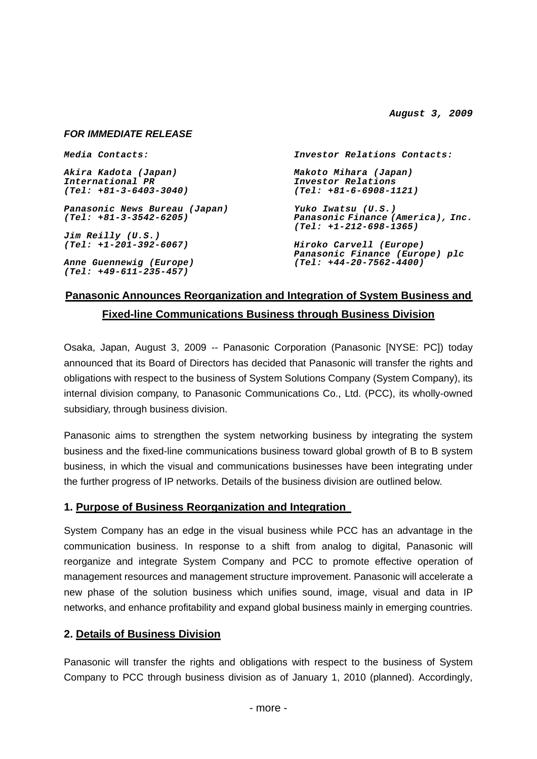*August 3, 2009* 

### *FOR IMMEDIATE RELEASE*

| <i>Media Contacts:</i>                            | Investor Relations Contacts:                                  |
|---------------------------------------------------|---------------------------------------------------------------|
| Akira Kadota (Japan)                              | Makoto Mihara (Japan)                                         |
| International PR                                  | Investor Relations                                            |
| (Tel: +81-3-6403-3040)                            | $(Tel: +81-6-6908-1121)$                                      |
| Panasonic News Bureau (Japan)                     | Yuko Iwatsu (U.S.)                                            |
| (Tel: +81-3-3542-6205)                            | Panasonic Finance (America), Inc.<br>$(Tel: +1-212-698-1365)$ |
| Jim Reilly (U.S.)                                 |                                                               |
| (Tel: +1-201-392-6067)                            | Hiroko Carvell (Europe)<br>Panasonic Finance (Europe) plc     |
| Anne Guennewig (Europe)<br>(Tel: +49-611-235-457) | $(Tel: +44-20-7562-4400)$                                     |
|                                                   |                                                               |

# **Panasonic Announces Reorganization and Integration of System Business and Fixed-line Communications Business through Business Division**

Osaka, Japan, August 3, 2009 -- Panasonic Corporation (Panasonic [NYSE: PC]) today announced that its Board of Directors has decided that Panasonic will transfer the rights and obligations with respect to the business of System Solutions Company (System Company), its internal division company, to Panasonic Communications Co., Ltd. (PCC), its wholly-owned subsidiary, through business division.

Panasonic aims to strengthen the system networking business by integrating the system business and the fixed-line communications business toward global growth of B to B system business, in which the visual and communications businesses have been integrating under the further progress of IP networks. Details of the business division are outlined below.

## **1. Purpose of Business Reorganization and Integration**

System Company has an edge in the visual business while PCC has an advantage in the communication business. In response to a shift from analog to digital, Panasonic will reorganize and integrate System Company and PCC to promote effective operation of management resources and management structure improvement. Panasonic will accelerate a new phase of the solution business which unifies sound, image, visual and data in IP networks, and enhance profitability and expand global business mainly in emerging countries.

## **2. Details of Business Division**

Panasonic will transfer the rights and obligations with respect to the business of System Company to PCC through business division as of January 1, 2010 (planned). Accordingly,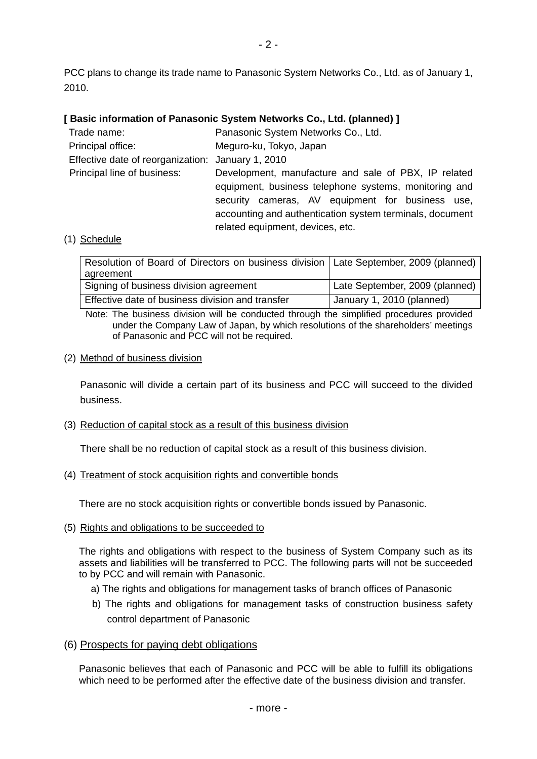PCC plans to change its trade name to Panasonic System Networks Co., Ltd. as of January 1, 2010.

### **[ Basic information of Panasonic System Networks Co., Ltd. (planned) ]**

| Trade name:                                       | Panasonic System Networks Co., Ltd.                      |  |  |
|---------------------------------------------------|----------------------------------------------------------|--|--|
| Principal office:                                 | Meguro-ku, Tokyo, Japan                                  |  |  |
| Effective date of reorganization: January 1, 2010 |                                                          |  |  |
| Principal line of business:                       | Development, manufacture and sale of PBX, IP related     |  |  |
|                                                   | equipment, business telephone systems, monitoring and    |  |  |
|                                                   | security cameras, AV equipment for business use,         |  |  |
|                                                   | accounting and authentication system terminals, document |  |  |
|                                                   | related equipment, devices, etc.                         |  |  |

#### (1) Schedule

| Resolution of Board of Directors on business division   Late September, 2009 (planned) |                                |
|----------------------------------------------------------------------------------------|--------------------------------|
| agreement                                                                              |                                |
| Signing of business division agreement                                                 | Late September, 2009 (planned) |
| Effective date of business division and transfer                                       | January 1, 2010 (planned)      |

Note: The business division will be conducted through the simplified procedures provided under the Company Law of Japan, by which resolutions of the shareholders' meetings of Panasonic and PCC will not be required.

#### (2) Method of business division

Panasonic will divide a certain part of its business and PCC will succeed to the divided business.

(3) Reduction of capital stock as a result of this business division

There shall be no reduction of capital stock as a result of this business division.

(4) Treatment of stock acquisition rights and convertible bonds

There are no stock acquisition rights or convertible bonds issued by Panasonic.

(5) Rights and obligations to be succeeded to

The rights and obligations with respect to the business of System Company such as its assets and liabilities will be transferred to PCC. The following parts will not be succeeded to by PCC and will remain with Panasonic.

- a) The rights and obligations for management tasks of branch offices of Panasonic
- b) The rights and obligations for management tasks of construction business safety control department of Panasonic

### (6) Prospects for paying debt obligations

Panasonic believes that each of Panasonic and PCC will be able to fulfill its obligations which need to be performed after the effective date of the business division and transfer.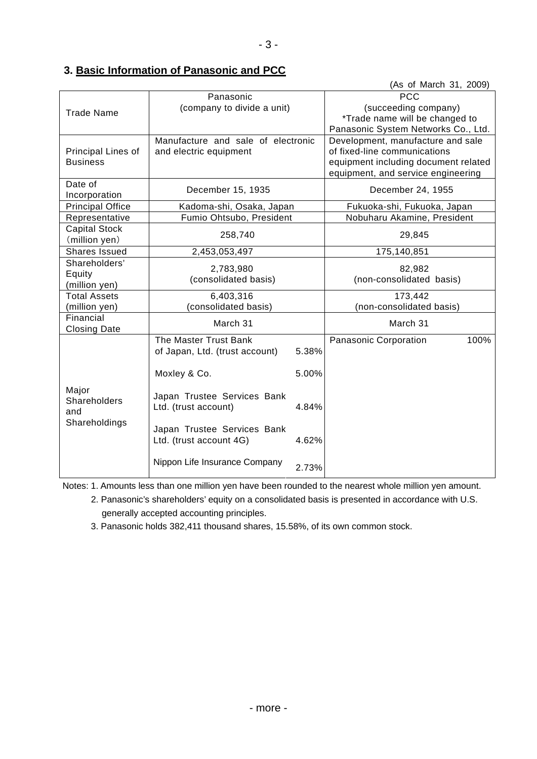# **3. Basic Information of Panasonic and PCC**

|                                               |                                    |       |                                      | (As of March 31, 2009) |  |
|-----------------------------------------------|------------------------------------|-------|--------------------------------------|------------------------|--|
| Panasonic                                     |                                    |       | <b>PCC</b>                           |                        |  |
| <b>Trade Name</b>                             | (company to divide a unit)         |       | (succeeding company)                 |                        |  |
|                                               |                                    |       | *Trade name will be changed to       |                        |  |
|                                               |                                    |       | Panasonic System Networks Co., Ltd.  |                        |  |
|                                               | Manufacture and sale of electronic |       | Development, manufacture and sale    |                        |  |
| Principal Lines of                            | and electric equipment             |       | of fixed-line communications         |                        |  |
| <b>Business</b>                               |                                    |       | equipment including document related |                        |  |
|                                               |                                    |       | equipment, and service engineering   |                        |  |
| Date of                                       |                                    |       |                                      |                        |  |
| Incorporation                                 | December 15, 1935                  |       | December 24, 1955                    |                        |  |
| <b>Principal Office</b>                       | Kadoma-shi, Osaka, Japan           |       | Fukuoka-shi, Fukuoka, Japan          |                        |  |
| Representative                                | Fumio Ohtsubo, President           |       | Nobuharu Akamine, President          |                        |  |
| <b>Capital Stock</b>                          |                                    |       |                                      |                        |  |
| (million yen)                                 | 258,740                            |       | 29,845                               |                        |  |
| <b>Shares Issued</b>                          | 2,453,053,497                      |       | 175,140,851                          |                        |  |
| Shareholders'                                 | 2,783,980                          |       | 82,982                               |                        |  |
| Equity                                        | (consolidated basis)               |       | (non-consolidated basis)             |                        |  |
| (million yen)                                 |                                    |       |                                      |                        |  |
| <b>Total Assets</b>                           | 6,403,316                          |       | 173,442                              |                        |  |
| (million yen)                                 | (consolidated basis)               |       | (non-consolidated basis)             |                        |  |
| Financial                                     | March 31                           |       | March 31                             |                        |  |
| <b>Closing Date</b>                           |                                    |       |                                      |                        |  |
|                                               | The Master Trust Bank              |       | Panasonic Corporation                | 100%                   |  |
|                                               | of Japan, Ltd. (trust account)     | 5.38% |                                      |                        |  |
|                                               |                                    |       |                                      |                        |  |
| Major<br>Shareholders<br>and<br>Shareholdings | Moxley & Co.                       | 5.00% |                                      |                        |  |
|                                               |                                    |       |                                      |                        |  |
|                                               | Japan Trustee Services Bank        |       |                                      |                        |  |
|                                               | Ltd. (trust account)               | 4.84% |                                      |                        |  |
|                                               |                                    |       |                                      |                        |  |
|                                               | Japan Trustee Services Bank        |       |                                      |                        |  |
|                                               | Ltd. (trust account 4G)            | 4.62% |                                      |                        |  |
|                                               |                                    |       |                                      |                        |  |
|                                               | Nippon Life Insurance Company      | 2.73% |                                      |                        |  |
|                                               |                                    |       |                                      |                        |  |

Notes: 1. Amounts less than one million yen have been rounded to the nearest whole million yen amount.

 2. Panasonic's shareholders' equity on a consolidated basis is presented in accordance with U.S. generally accepted accounting principles.

3. Panasonic holds 382,411 thousand shares, 15.58%, of its own common stock.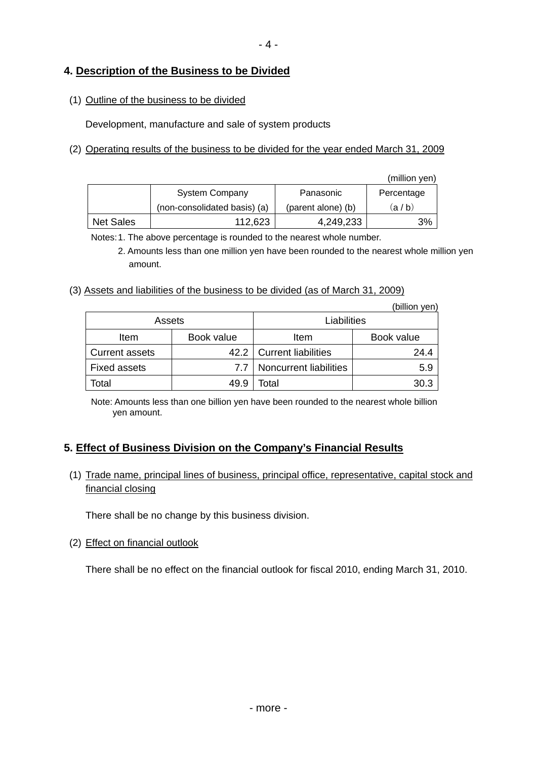## **4. Description of the Business to be Divided**

## (1) Outline of the business to be divided

Development, manufacture and sale of system products

## (2) Operating results of the business to be divided for the year ended March 31, 2009

|                  |                              |                    | (million yen) |
|------------------|------------------------------|--------------------|---------------|
|                  | <b>System Company</b>        | Panasonic          | Percentage    |
|                  | (non-consolidated basis) (a) | (parent alone) (b) | (a / b)       |
| <b>Net Sales</b> | 112,623                      | 4,249,233          | 3%            |

Notes: 1. The above percentage is rounded to the nearest whole number.

 2. Amounts less than one million yen have been rounded to the nearest whole million yen amount.

## (3) Assets and liabilities of the business to be divided (as of March 31, 2009)

|                       |            |                            | (billion yen) |
|-----------------------|------------|----------------------------|---------------|
| Assets                |            | Liabilities                |               |
| Item                  | Book value | Item                       | Book value    |
| <b>Current assets</b> |            | 42.2   Current liabilities | 24.4          |
| <b>Fixed assets</b>   | 7.7        | Noncurrent liabilities     | 5.9           |
| <b>Total</b>          | 49.9       | Total                      | 30.3          |

Note: Amounts less than one billion yen have been rounded to the nearest whole billion yen amount.

## **5. Effect of Business Division on the Company's Financial Results**

## (1) Trade name, principal lines of business, principal office, representative, capital stock and financial closing

There shall be no change by this business division.

(2) Effect on financial outlook

There shall be no effect on the financial outlook for fiscal 2010, ending March 31, 2010.